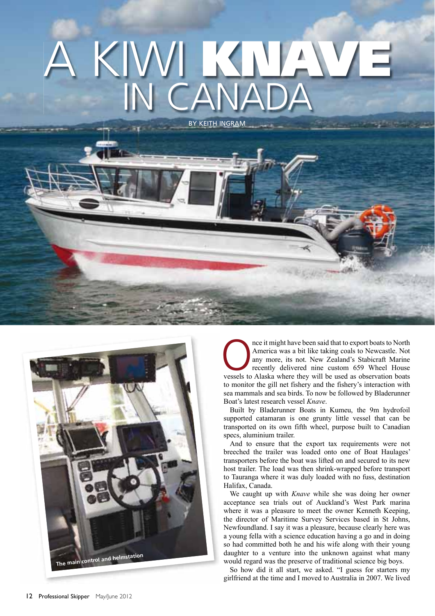## BY KEITH INGRAM A KIWI **KNAVE** IN CANADA



The might have been said that to export boats to North America was a bit like taking coals to Newcastle. Not any more, its not. New Zealand's Stabicraft Marine recently delivered nine custom 659 Wheel House vessels to Alas America was a bit like taking coals to Newcastle. Not any more, its not. New Zealand's Stabicraft Marine recently delivered nine custom 659 Wheel House to monitor the gill net fishery and the fishery's interaction with sea mammals and sea birds. To now be followed by Bladerunner Boat's latest research vessel *Knave*.

Built by Bladerunner Boats in Kumeu, the 9m hydrofoil supported catamaran is one grunty little vessel that can be transported on its own fifth wheel, purpose built to Canadian specs, aluminium trailer.

And to ensure that the export tax requirements were not breeched the trailer was loaded onto one of Boat Haulages' transporters before the boat was lifted on and secured to its new host trailer. The load was then shrink-wrapped before transport to Tauranga where it was duly loaded with no fuss, destination Halifax, Canada.

We caught up with *Knave* while she was doing her owner acceptance sea trials out of Auckland's West Park marina where it was a pleasure to meet the owner Kenneth Keeping, the director of Maritime Survey Services based in St Johns, Newfoundland. I say it was a pleasure, because clearly here was a young fella with a science education having a go and in doing so had committed both he and his wife along with their young daughter to a venture into the unknown against what many would regard was the preserve of traditional science big boys.

So how did it all start, we asked. "I guess for starters my girlfriend at the time and I moved to Australia in 2007. We lived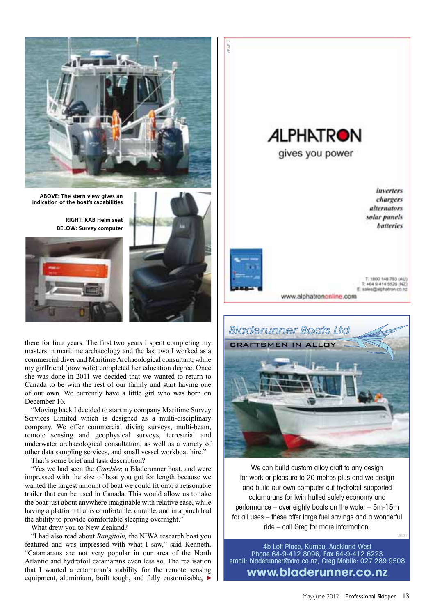

**ABOVE: The stern view gives an indication of the boat's capabilities**

**RIGHT: KAB Helm seat BELOW: Survey computer**





there for four years. The first two years I spent completing my masters in maritime archaeology and the last two I worked as a commercial diver and Maritime Archaeological consultant, while my girlfriend (now wife) completed her education degree. Once she was done in 2011 we decided that we wanted to return to Canada to be with the rest of our family and start having one of our own. We currently have a little girl who was born on December 16.

"Moving back I decided to start my company Maritime Survey Services Limited which is designed as a multi-disciplinary company. We offer commercial diving surveys, multi-beam, remote sensing and geophysical surveys, terrestrial and underwater archaeological consultation, as well as a variety of other data sampling services, and small vessel workboat hire."

That's some brief and task description?

"Yes we had seen the *Gambler,* a Bladerunner boat, and were impressed with the size of boat you got for length because we wanted the largest amount of boat we could fit onto a reasonable trailer that can be used in Canada. This would allow us to take the boat just about anywhere imaginable with relative ease, while having a platform that is comfortable, durable, and in a pinch had the ability to provide comfortable sleeping overnight."

What drew you to New Zealand?

"I had also read about *Rangitahi,* the NIWA research boat you featured and was impressed with what I saw," said Kenneth. "Catamarans are not very popular in our area of the North Atlantic and hydrofoil catamarans even less so. The realisation that I wanted a catamaran's stability for the remote sensing equipment, aluminium, built tough, and fully customisable,





We can build custom alloy craft to any design for work or pleasure to 20 metres plus and we design and build our own computer cut hydrofoil supported catamarans for twin hulled safety economy and performance – over eighty boats on the water – 5m-15m for all uses – these offer large fuel savings and a wonderful ride – call Greg for more information.

4b Loft Place, Kumeu, Auckland West Phone 64-9-412 8096, Fax 64-9-412 6223 email: bladerunner@xtra.co.nz, Greg Mobile: 027 289 9508 **www.bladerunner.co.nz**

VIP.S87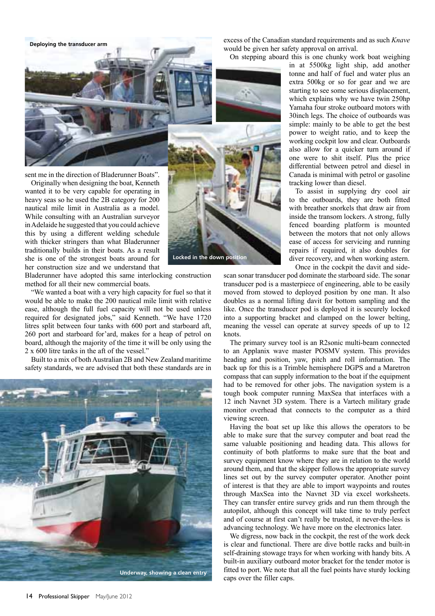**Deploying the transducer arm**

excess of the Canadian standard requirements and as such *Knave* would be given her safety approval on arrival.

On stepping aboard this is one chunky work boat weighing



sent me in the direction of Bladerunner Boats".

Originally when designing the boat, Kenneth wanted it to be very capable for operating in heavy seas so he used the 2B category for 200 nautical mile limit in Australia as a model. While consulting with an Australian surveyor in Adelaide he suggested that you could achieve this by using a different welding schedule with thicker stringers than what Bladerunner traditionally builds in their boats. As a result she is one of the strongest boats around for her construction size and we understand that

**Locked in the down position**

Bladerunner have adopted this same interlocking construction method for all their new commercial boats.

"We wanted a boat with a very high capacity for fuel so that it would be able to make the 200 nautical mile limit with relative ease, although the full fuel capacity will not be used unless required for designated jobs," said Kenneth. "We have 1720 litres split between four tanks with 600 port and starboard aft, 260 port and starboard for'ard, makes for a heap of petrol on board, although the majority of the time it will be only using the 2 x 600 litre tanks in the aft of the vessel."

Built to a mix of both Australian 2B and New Zealand maritime safety standards, we are advised that both these standards are in



in at 5500kg light ship, add another tonne and half of fuel and water plus an extra 500kg or so for gear and we are starting to see some serious displacement, which explains why we have twin 250hp Yamaha four stroke outboard motors with 30inch legs. The choice of outboards was simple: mainly to be able to get the best power to weight ratio, and to keep the working cockpit low and clear. Outboards also allow for a quicker turn around if one were to shit itself. Plus the price differential between petrol and diesel in Canada is minimal with petrol or gasoline tracking lower than diesel.

To assist in supplying dry cool air to the outboards, they are both fitted with breather snorkels that draw air from inside the transom lockers. A strong, fully fenced boarding platform is mounted between the motors that not only allows ease of access for servicing and running repairs if required, it also doubles for diver recovery, and when working astern. Once in the cockpit the davit and side-

scan sonar transducer pod dominate the starboard side. The sonar transducer pod is a masterpiece of engineering, able to be easily moved from stowed to deployed position by one man. It also doubles as a normal lifting davit for bottom sampling and the like. Once the transducer pod is deployed it is securely locked into a supporting bracket and clamped on the lower belting, meaning the vessel can operate at survey speeds of up to 12 knots.

The primary survey tool is an R2sonic multi-beam connected to an Applanix wave master POSMV system. This provides heading and position, yaw, pitch and roll information. The back up for this is a Trimble hemisphere DGPS and a Maretron compass that can supply information to the boat if the equipment had to be removed for other jobs. The navigation system is a tough book computer running MaxSea that interfaces with a 12 inch Navnet 3D system. There is a Vartech military grade monitor overhead that connects to the computer as a third viewing screen.

Having the boat set up like this allows the operators to be able to make sure that the survey computer and boat read the same valuable positioning and heading data. This allows for continuity of both platforms to make sure that the boat and survey equipment know where they are in relation to the world around them, and that the skipper follows the appropriate survey lines set out by the survey computer operator. Another point of interest is that they are able to import waypoints and routes through MaxSea into the Navnet 3D via excel worksheets. They can transfer entire survey grids and run them through the autopilot, although this concept will take time to truly perfect and of course at first can't really be trusted, it never-the-less is advancing technology. We have more on the electronics later.

We digress, now back in the cockpit, the rest of the work deck is clear and functional. There are dive bottle racks and built-in self-draining stowage trays for when working with handy bits. A built-in auxiliary outboard motor bracket for the tender motor is fitted to port. We note that all the fuel points have sturdy locking caps over the filler caps.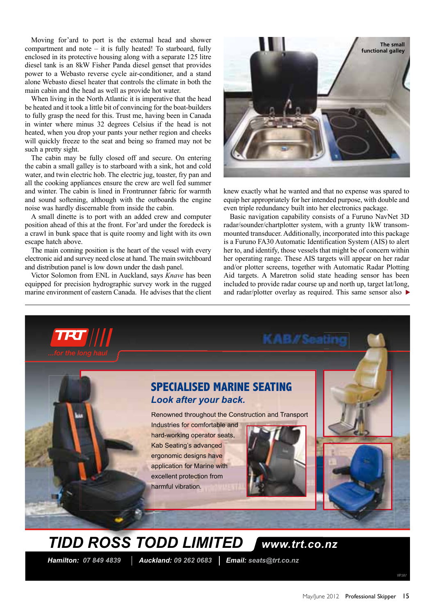Moving for'ard to port is the external head and shower compartment and note – it is fully heated! To starboard, fully enclosed in its protective housing along with a separate 125 litre diesel tank is an 8kW Fisher Panda diesel genset that provides power to a Webasto reverse cycle air-conditioner, and a stand alone Webasto diesel heater that controls the climate in both the main cabin and the head as well as provide hot water.

When living in the North Atlantic it is imperative that the head be heated and it took a little bit of convincing for the boat-builders to fully grasp the need for this. Trust me, having been in Canada in winter where minus 32 degrees Celsius if the head is not heated, when you drop your pants your nether region and cheeks will quickly freeze to the seat and being so framed may not be such a pretty sight.

The cabin may be fully closed off and secure. On entering the cabin a small galley is to starboard with a sink, hot and cold water, and twin electric hob. The electric jug, toaster, fry pan and all the cooking appliances ensure the crew are well fed summer and winter. The cabin is lined in Frontrunner fabric for warmth and sound softening, although with the outboards the engine noise was hardly discernable from inside the cabin.

A small dinette is to port with an added crew and computer position ahead of this at the front. For'ard under the foredeck is a crawl in bunk space that is quite roomy and light with its own escape hatch above.

The main conning position is the heart of the vessel with every electronic aid and survey need close at hand. The main switchboard and distribution panel is low down under the dash panel.

Victor Solomon from ENL in Auckland, says *Knave* has been equipped for precision hydrographic survey work in the rugged marine environment of eastern Canada. He advises that the client



knew exactly what he wanted and that no expense was spared to equip her appropriately for her intended purpose, with double and even triple redundancy built into her electronics package.

Basic navigation capability consists of a Furuno NavNet 3D radar/sounder/chartplotter system, with a grunty 1kW transommounted transducer. Additionally, incorporated into this package is a Furuno FA30 Automatic Identification System (AIS) to alert her to, and identify, those vessels that might be of concern within her operating range. These AIS targets will appear on her radar and/or plotter screens, together with Automatic Radar Plotting Aid targets. A Maretron solid state heading sensor has been included to provide radar course up and north up, target lat/long, and radar/plotter overlay as required. This same sensor also  $\blacktriangleright$ 



 *Hamilton: 07 849 4839 Auckland: 09 262 0683 Email: seats@trt.co.nz*

VIP.S87